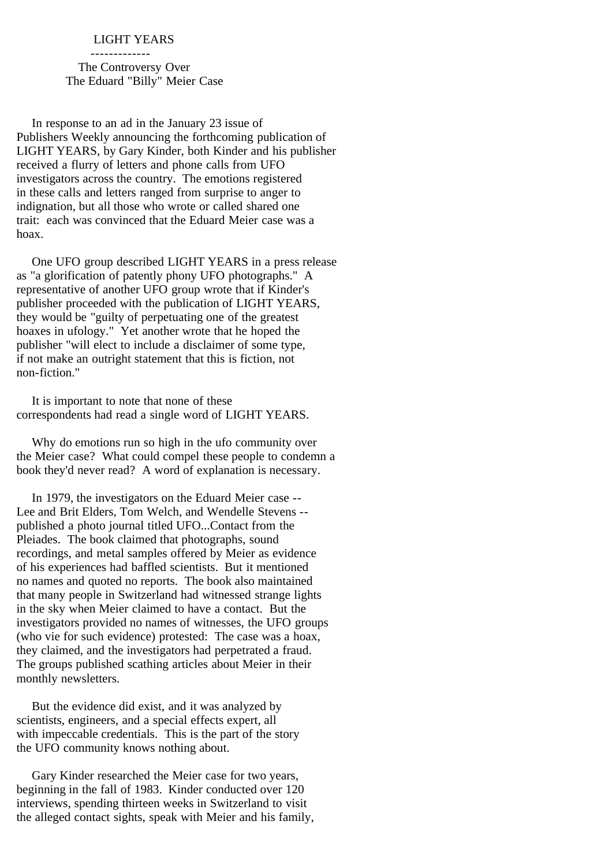## LIGHT YEARS

-------------

 The Controversy Over The Eduard "Billy" Meier Case

 In response to an ad in the January 23 issue of Publishers Weekly announcing the forthcoming publication of LIGHT YEARS, by Gary Kinder, both Kinder and his publisher received a flurry of letters and phone calls from UFO investigators across the country. The emotions registered in these calls and letters ranged from surprise to anger to indignation, but all those who wrote or called shared one trait: each was convinced that the Eduard Meier case was a hoax.

 One UFO group described LIGHT YEARS in a press release as "a glorification of patently phony UFO photographs." A representative of another UFO group wrote that if Kinder's publisher proceeded with the publication of LIGHT YEARS, they would be "guilty of perpetuating one of the greatest hoaxes in ufology." Yet another wrote that he hoped the publisher "will elect to include a disclaimer of some type, if not make an outright statement that this is fiction, not non-fiction."

 It is important to note that none of these correspondents had read a single word of LIGHT YEARS.

 Why do emotions run so high in the ufo community over the Meier case? What could compel these people to condemn a book they'd never read? A word of explanation is necessary.

 In 1979, the investigators on the Eduard Meier case -- Lee and Brit Elders, Tom Welch, and Wendelle Stevens - published a photo journal titled UFO...Contact from the Pleiades. The book claimed that photographs, sound recordings, and metal samples offered by Meier as evidence of his experiences had baffled scientists. But it mentioned no names and quoted no reports. The book also maintained that many people in Switzerland had witnessed strange lights in the sky when Meier claimed to have a contact. But the investigators provided no names of witnesses, the UFO groups (who vie for such evidence) protested: The case was a hoax, they claimed, and the investigators had perpetrated a fraud. The groups published scathing articles about Meier in their monthly newsletters.

 But the evidence did exist, and it was analyzed by scientists, engineers, and a special effects expert, all with impeccable credentials. This is the part of the story the UFO community knows nothing about.

 Gary Kinder researched the Meier case for two years, beginning in the fall of 1983. Kinder conducted over 120 interviews, spending thirteen weeks in Switzerland to visit the alleged contact sights, speak with Meier and his family,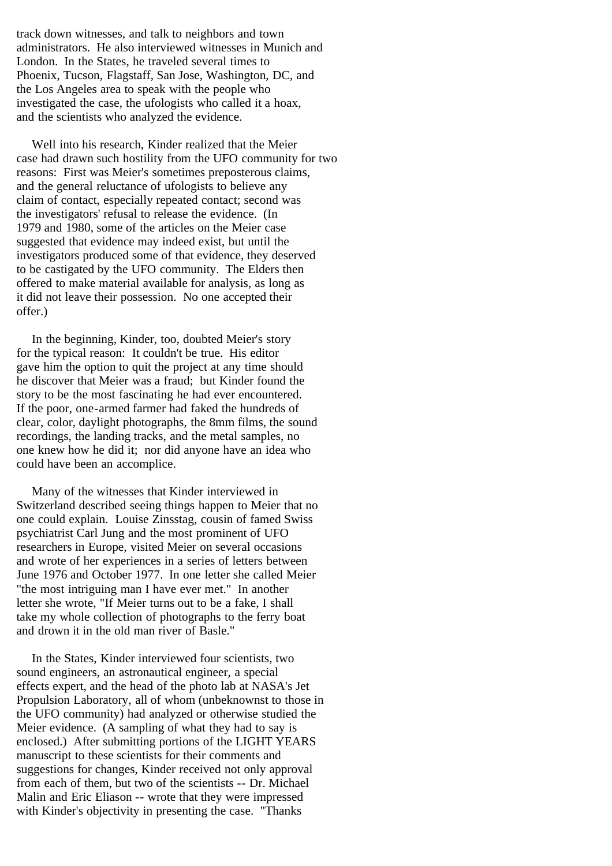track down witnesses, and talk to neighbors and town administrators. He also interviewed witnesses in Munich and London. In the States, he traveled several times to Phoenix, Tucson, Flagstaff, San Jose, Washington, DC, and the Los Angeles area to speak with the people who investigated the case, the ufologists who called it a hoax, and the scientists who analyzed the evidence.

 Well into his research, Kinder realized that the Meier case had drawn such hostility from the UFO community for two reasons: First was Meier's sometimes preposterous claims, and the general reluctance of ufologists to believe any claim of contact, especially repeated contact; second was the investigators' refusal to release the evidence. (In 1979 and 1980, some of the articles on the Meier case suggested that evidence may indeed exist, but until the investigators produced some of that evidence, they deserved to be castigated by the UFO community. The Elders then offered to make material available for analysis, as long as it did not leave their possession. No one accepted their offer.)

 In the beginning, Kinder, too, doubted Meier's story for the typical reason: It couldn't be true. His editor gave him the option to quit the project at any time should he discover that Meier was a fraud; but Kinder found the story to be the most fascinating he had ever encountered. If the poor, one-armed farmer had faked the hundreds of clear, color, daylight photographs, the 8mm films, the sound recordings, the landing tracks, and the metal samples, no one knew how he did it; nor did anyone have an idea who could have been an accomplice.

 Many of the witnesses that Kinder interviewed in Switzerland described seeing things happen to Meier that no one could explain. Louise Zinsstag, cousin of famed Swiss psychiatrist Carl Jung and the most prominent of UFO researchers in Europe, visited Meier on several occasions and wrote of her experiences in a series of letters between June 1976 and October 1977. In one letter she called Meier "the most intriguing man I have ever met." In another letter she wrote, "If Meier turns out to be a fake, I shall take my whole collection of photographs to the ferry boat and drown it in the old man river of Basle."

 In the States, Kinder interviewed four scientists, two sound engineers, an astronautical engineer, a special effects expert, and the head of the photo lab at NASA's Jet Propulsion Laboratory, all of whom (unbeknownst to those in the UFO community) had analyzed or otherwise studied the Meier evidence. (A sampling of what they had to say is enclosed.) After submitting portions of the LIGHT YEARS manuscript to these scientists for their comments and suggestions for changes, Kinder received not only approval from each of them, but two of the scientists -- Dr. Michael Malin and Eric Eliason -- wrote that they were impressed with Kinder's objectivity in presenting the case. "Thanks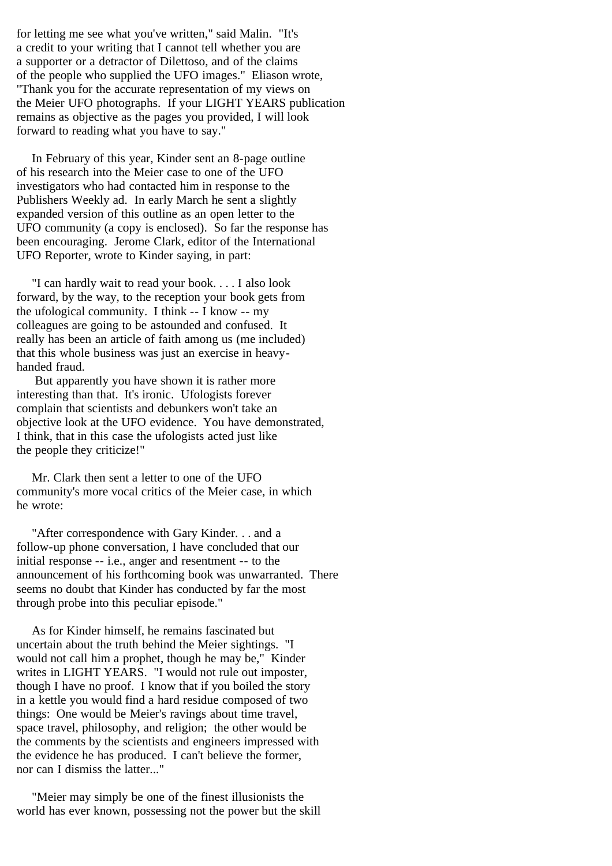for letting me see what you've written," said Malin. "It's a credit to your writing that I cannot tell whether you are a supporter or a detractor of Dilettoso, and of the claims of the people who supplied the UFO images." Eliason wrote, "Thank you for the accurate representation of my views on the Meier UFO photographs. If your LIGHT YEARS publication remains as objective as the pages you provided, I will look forward to reading what you have to say."

 In February of this year, Kinder sent an 8-page outline of his research into the Meier case to one of the UFO investigators who had contacted him in response to the Publishers Weekly ad. In early March he sent a slightly expanded version of this outline as an open letter to the UFO community (a copy is enclosed). So far the response has been encouraging. Jerome Clark, editor of the International UFO Reporter, wrote to Kinder saying, in part:

 "I can hardly wait to read your book. . . . I also look forward, by the way, to the reception your book gets from the ufological community. I think -- I know -- my colleagues are going to be astounded and confused. It really has been an article of faith among us (me included) that this whole business was just an exercise in heavyhanded fraud.

 But apparently you have shown it is rather more interesting than that. It's ironic. Ufologists forever complain that scientists and debunkers won't take an objective look at the UFO evidence. You have demonstrated, I think, that in this case the ufologists acted just like the people they criticize!"

 Mr. Clark then sent a letter to one of the UFO community's more vocal critics of the Meier case, in which he wrote:

 "After correspondence with Gary Kinder. . . and a follow-up phone conversation, I have concluded that our initial response -- i.e., anger and resentment -- to the announcement of his forthcoming book was unwarranted. There seems no doubt that Kinder has conducted by far the most through probe into this peculiar episode."

 As for Kinder himself, he remains fascinated but uncertain about the truth behind the Meier sightings. "I would not call him a prophet, though he may be," Kinder writes in LIGHT YEARS. "I would not rule out imposter, though I have no proof. I know that if you boiled the story in a kettle you would find a hard residue composed of two things: One would be Meier's ravings about time travel, space travel, philosophy, and religion; the other would be the comments by the scientists and engineers impressed with the evidence he has produced. I can't believe the former, nor can I dismiss the latter..."

 "Meier may simply be one of the finest illusionists the world has ever known, possessing not the power but the skill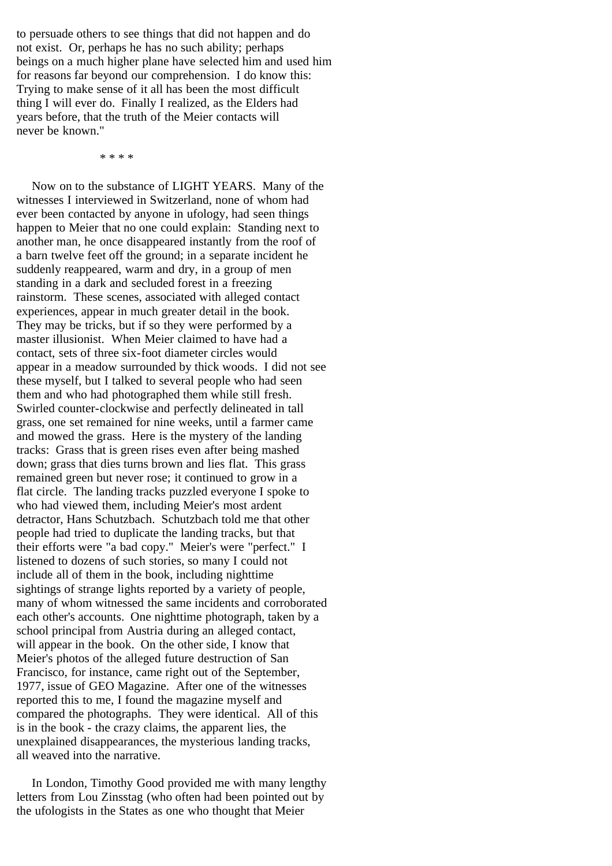to persuade others to see things that did not happen and do not exist. Or, perhaps he has no such ability; perhaps beings on a much higher plane have selected him and used him for reasons far beyond our comprehension. I do know this: Trying to make sense of it all has been the most difficult thing I will ever do. Finally I realized, as the Elders had years before, that the truth of the Meier contacts will never be known."

\* \* \* \*

 Now on to the substance of LIGHT YEARS. Many of the witnesses I interviewed in Switzerland, none of whom had ever been contacted by anyone in ufology, had seen things happen to Meier that no one could explain: Standing next to another man, he once disappeared instantly from the roof of a barn twelve feet off the ground; in a separate incident he suddenly reappeared, warm and dry, in a group of men standing in a dark and secluded forest in a freezing rainstorm. These scenes, associated with alleged contact experiences, appear in much greater detail in the book. They may be tricks, but if so they were performed by a master illusionist. When Meier claimed to have had a contact, sets of three six-foot diameter circles would appear in a meadow surrounded by thick woods. I did not see these myself, but I talked to several people who had seen them and who had photographed them while still fresh. Swirled counter-clockwise and perfectly delineated in tall grass, one set remained for nine weeks, until a farmer came and mowed the grass. Here is the mystery of the landing tracks: Grass that is green rises even after being mashed down; grass that dies turns brown and lies flat. This grass remained green but never rose; it continued to grow in a flat circle. The landing tracks puzzled everyone I spoke to who had viewed them, including Meier's most ardent detractor, Hans Schutzbach. Schutzbach told me that other people had tried to duplicate the landing tracks, but that their efforts were "a bad copy." Meier's were "perfect." I listened to dozens of such stories, so many I could not include all of them in the book, including nighttime sightings of strange lights reported by a variety of people, many of whom witnessed the same incidents and corroborated each other's accounts. One nighttime photograph, taken by a school principal from Austria during an alleged contact, will appear in the book. On the other side, I know that Meier's photos of the alleged future destruction of San Francisco, for instance, came right out of the September, 1977, issue of GEO Magazine. After one of the witnesses reported this to me, I found the magazine myself and compared the photographs. They were identical. All of this is in the book - the crazy claims, the apparent lies, the unexplained disappearances, the mysterious landing tracks, all weaved into the narrative.

 In London, Timothy Good provided me with many lengthy letters from Lou Zinsstag (who often had been pointed out by the ufologists in the States as one who thought that Meier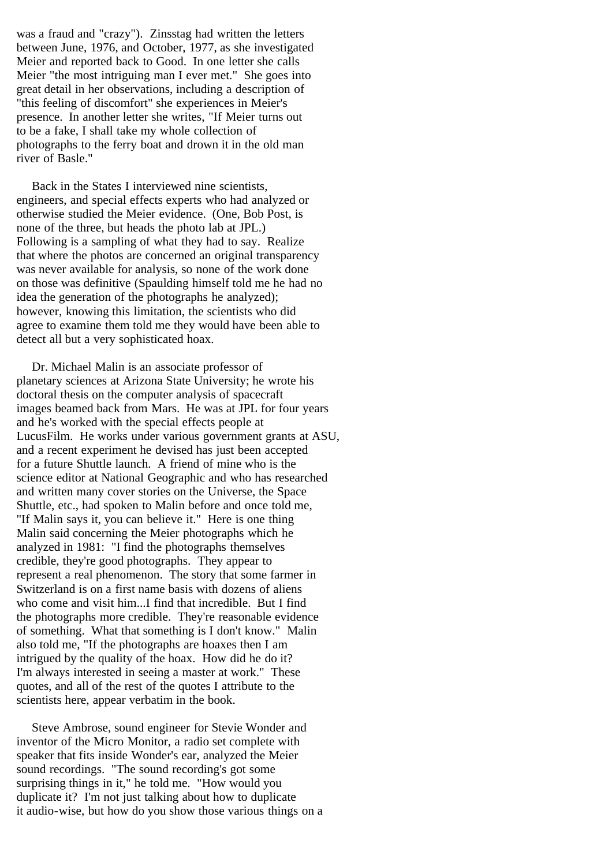was a fraud and "crazy"). Zinsstag had written the letters between June, 1976, and October, 1977, as she investigated Meier and reported back to Good. In one letter she calls Meier "the most intriguing man I ever met." She goes into great detail in her observations, including a description of "this feeling of discomfort" she experiences in Meier's presence. In another letter she writes, "If Meier turns out to be a fake, I shall take my whole collection of photographs to the ferry boat and drown it in the old man river of Basle."

 Back in the States I interviewed nine scientists, engineers, and special effects experts who had analyzed or otherwise studied the Meier evidence. (One, Bob Post, is none of the three, but heads the photo lab at JPL.) Following is a sampling of what they had to say. Realize that where the photos are concerned an original transparency was never available for analysis, so none of the work done on those was definitive (Spaulding himself told me he had no idea the generation of the photographs he analyzed); however, knowing this limitation, the scientists who did agree to examine them told me they would have been able to detect all but a very sophisticated hoax.

 Dr. Michael Malin is an associate professor of planetary sciences at Arizona State University; he wrote his doctoral thesis on the computer analysis of spacecraft images beamed back from Mars. He was at JPL for four years and he's worked with the special effects people at LucusFilm. He works under various government grants at ASU, and a recent experiment he devised has just been accepted for a future Shuttle launch. A friend of mine who is the science editor at National Geographic and who has researched and written many cover stories on the Universe, the Space Shuttle, etc., had spoken to Malin before and once told me, "If Malin says it, you can believe it." Here is one thing Malin said concerning the Meier photographs which he analyzed in 1981: "I find the photographs themselves credible, they're good photographs. They appear to represent a real phenomenon. The story that some farmer in Switzerland is on a first name basis with dozens of aliens who come and visit him...I find that incredible. But I find the photographs more credible. They're reasonable evidence of something. What that something is I don't know." Malin also told me, "If the photographs are hoaxes then I am intrigued by the quality of the hoax. How did he do it? I'm always interested in seeing a master at work." These quotes, and all of the rest of the quotes I attribute to the scientists here, appear verbatim in the book.

 Steve Ambrose, sound engineer for Stevie Wonder and inventor of the Micro Monitor, a radio set complete with speaker that fits inside Wonder's ear, analyzed the Meier sound recordings. "The sound recording's got some surprising things in it," he told me. "How would you duplicate it? I'm not just talking about how to duplicate it audio-wise, but how do you show those various things on a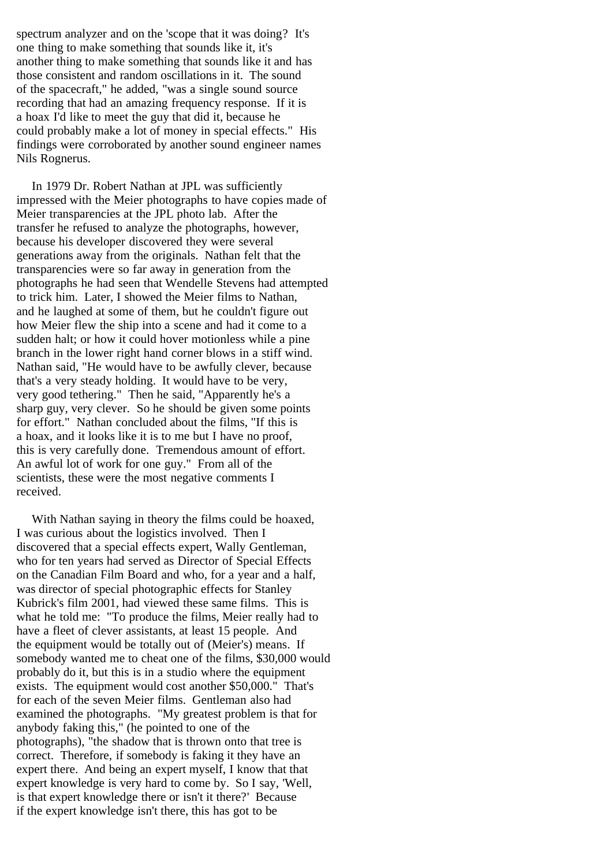spectrum analyzer and on the 'scope that it was doing? It's one thing to make something that sounds like it, it's another thing to make something that sounds like it and has those consistent and random oscillations in it. The sound of the spacecraft," he added, "was a single sound source recording that had an amazing frequency response. If it is a hoax I'd like to meet the guy that did it, because he could probably make a lot of money in special effects." His findings were corroborated by another sound engineer names Nils Rognerus.

 In 1979 Dr. Robert Nathan at JPL was sufficiently impressed with the Meier photographs to have copies made of Meier transparencies at the JPL photo lab. After the transfer he refused to analyze the photographs, however, because his developer discovered they were several generations away from the originals. Nathan felt that the transparencies were so far away in generation from the photographs he had seen that Wendelle Stevens had attempted to trick him. Later, I showed the Meier films to Nathan, and he laughed at some of them, but he couldn't figure out how Meier flew the ship into a scene and had it come to a sudden halt; or how it could hover motionless while a pine branch in the lower right hand corner blows in a stiff wind. Nathan said, "He would have to be awfully clever, because that's a very steady holding. It would have to be very, very good tethering." Then he said, "Apparently he's a sharp guy, very clever. So he should be given some points for effort." Nathan concluded about the films, "If this is a hoax, and it looks like it is to me but I have no proof, this is very carefully done. Tremendous amount of effort. An awful lot of work for one guy." From all of the scientists, these were the most negative comments I received.

 With Nathan saying in theory the films could be hoaxed, I was curious about the logistics involved. Then I discovered that a special effects expert, Wally Gentleman, who for ten years had served as Director of Special Effects on the Canadian Film Board and who, for a year and a half, was director of special photographic effects for Stanley Kubrick's film 2001, had viewed these same films. This is what he told me: "To produce the films, Meier really had to have a fleet of clever assistants, at least 15 people. And the equipment would be totally out of (Meier's) means. If somebody wanted me to cheat one of the films, \$30,000 would probably do it, but this is in a studio where the equipment exists. The equipment would cost another \$50,000." That's for each of the seven Meier films. Gentleman also had examined the photographs. "My greatest problem is that for anybody faking this," (he pointed to one of the photographs), "the shadow that is thrown onto that tree is correct. Therefore, if somebody is faking it they have an expert there. And being an expert myself, I know that that expert knowledge is very hard to come by. So I say, 'Well, is that expert knowledge there or isn't it there?' Because if the expert knowledge isn't there, this has got to be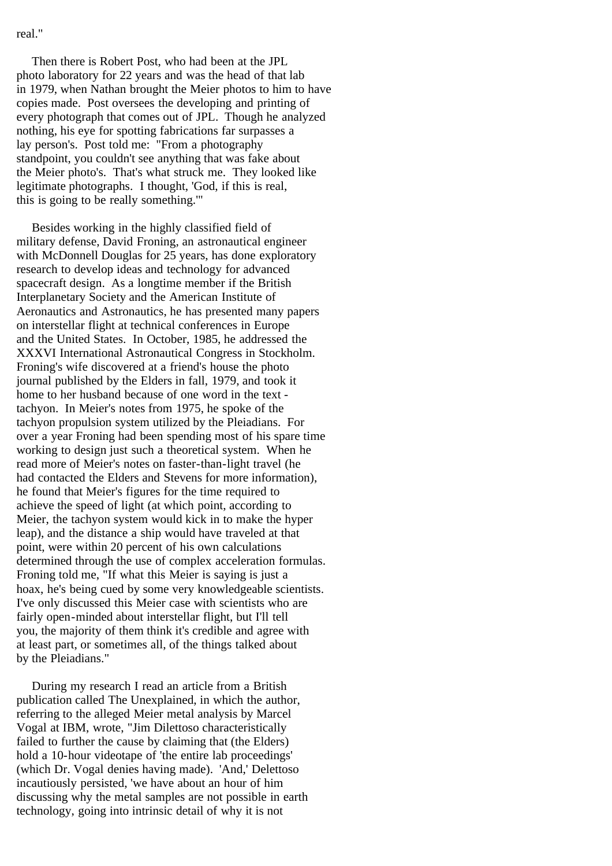real."

 Then there is Robert Post, who had been at the JPL photo laboratory for 22 years and was the head of that lab in 1979, when Nathan brought the Meier photos to him to have copies made. Post oversees the developing and printing of every photograph that comes out of JPL. Though he analyzed nothing, his eye for spotting fabrications far surpasses a lay person's. Post told me: "From a photography standpoint, you couldn't see anything that was fake about the Meier photo's. That's what struck me. They looked like legitimate photographs. I thought, 'God, if this is real, this is going to be really something.'"

 Besides working in the highly classified field of military defense, David Froning, an astronautical engineer with McDonnell Douglas for 25 years, has done exploratory research to develop ideas and technology for advanced spacecraft design. As a longtime member if the British Interplanetary Society and the American Institute of Aeronautics and Astronautics, he has presented many papers on interstellar flight at technical conferences in Europe and the United States. In October, 1985, he addressed the XXXVI International Astronautical Congress in Stockholm. Froning's wife discovered at a friend's house the photo journal published by the Elders in fall, 1979, and took it home to her husband because of one word in the text tachyon. In Meier's notes from 1975, he spoke of the tachyon propulsion system utilized by the Pleiadians. For over a year Froning had been spending most of his spare time working to design just such a theoretical system. When he read more of Meier's notes on faster-than-light travel (he had contacted the Elders and Stevens for more information), he found that Meier's figures for the time required to achieve the speed of light (at which point, according to Meier, the tachyon system would kick in to make the hyper leap), and the distance a ship would have traveled at that point, were within 20 percent of his own calculations determined through the use of complex acceleration formulas. Froning told me, "If what this Meier is saying is just a hoax, he's being cued by some very knowledgeable scientists. I've only discussed this Meier case with scientists who are fairly open-minded about interstellar flight, but I'll tell you, the majority of them think it's credible and agree with at least part, or sometimes all, of the things talked about by the Pleiadians."

 During my research I read an article from a British publication called The Unexplained, in which the author, referring to the alleged Meier metal analysis by Marcel Vogal at IBM, wrote, "Jim Dilettoso characteristically failed to further the cause by claiming that (the Elders) hold a 10-hour videotape of 'the entire lab proceedings' (which Dr. Vogal denies having made). 'And,' Delettoso incautiously persisted, 'we have about an hour of him discussing why the metal samples are not possible in earth technology, going into intrinsic detail of why it is not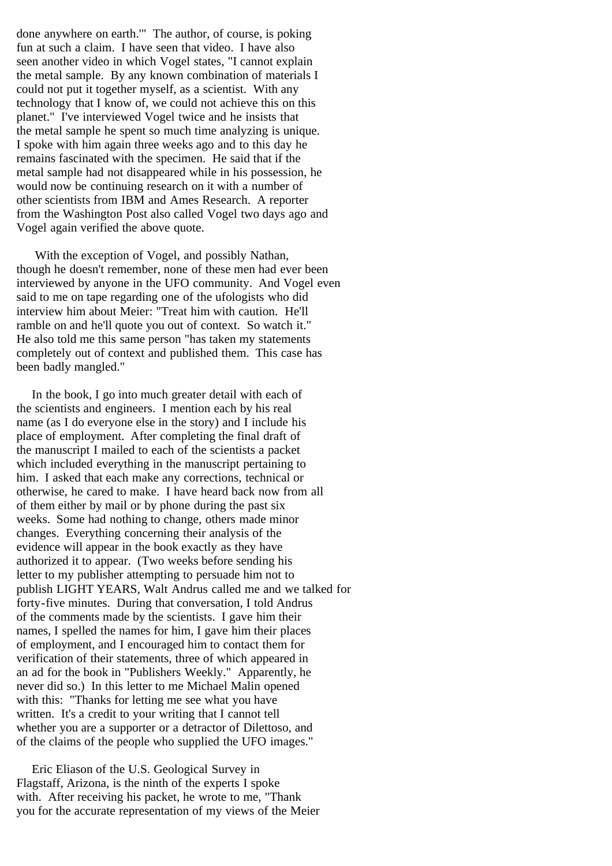done anywhere on earth.'" The author, of course, is poking fun at such a claim. I have seen that video. I have also seen another video in which Vogel states, "I cannot explain the metal sample. By any known combination of materials I could not put it together myself, as a scientist. With any technology that I know of, we could not achieve this on this planet." I've interviewed Vogel twice and he insists that the metal sample he spent so much time analyzing is unique. I spoke with him again three weeks ago and to this day he remains fascinated with the specimen. He said that if the metal sample had not disappeared while in his possession, he would now be continuing research on it with a number of other scientists from IBM and Ames Research. A reporter from the Washington Post also called Vogel two days ago and Vogel again verified the above quote.

 With the exception of Vogel, and possibly Nathan, though he doesn't remember, none of these men had ever been interviewed by anyone in the UFO community. And Vogel even said to me on tape regarding one of the ufologists who did interview him about Meier: "Treat him with caution. He'll ramble on and he'll quote you out of context. So watch it." He also told me this same person "has taken my statements completely out of context and published them. This case has been badly mangled."

 In the book, I go into much greater detail with each of the scientists and engineers. I mention each by his real name (as I do everyone else in the story) and I include his place of employment. After completing the final draft of the manuscript I mailed to each of the scientists a packet which included everything in the manuscript pertaining to him. I asked that each make any corrections, technical or otherwise, he cared to make. I have heard back now from all of them either by mail or by phone during the past six weeks. Some had nothing to change, others made minor changes. Everything concerning their analysis of the evidence will appear in the book exactly as they have authorized it to appear. (Two weeks before sending his letter to my publisher attempting to persuade him not to publish LIGHT YEARS, Walt Andrus called me and we talked for forty-five minutes. During that conversation, I told Andrus of the comments made by the scientists. I gave him their names, I spelled the names for him, I gave him their places of employment, and I encouraged him to contact them for verification of their statements, three of which appeared in an ad for the book in "Publishers Weekly." Apparently, he never did so.) In this letter to me Michael Malin opened with this: "Thanks for letting me see what you have written. It's a credit to your writing that I cannot tell whether you are a supporter or a detractor of Dilettoso, and of the claims of the people who supplied the UFO images."

 Eric Eliason of the U.S. Geological Survey in Flagstaff, Arizona, is the ninth of the experts I spoke with. After receiving his packet, he wrote to me, "Thank you for the accurate representation of my views of the Meier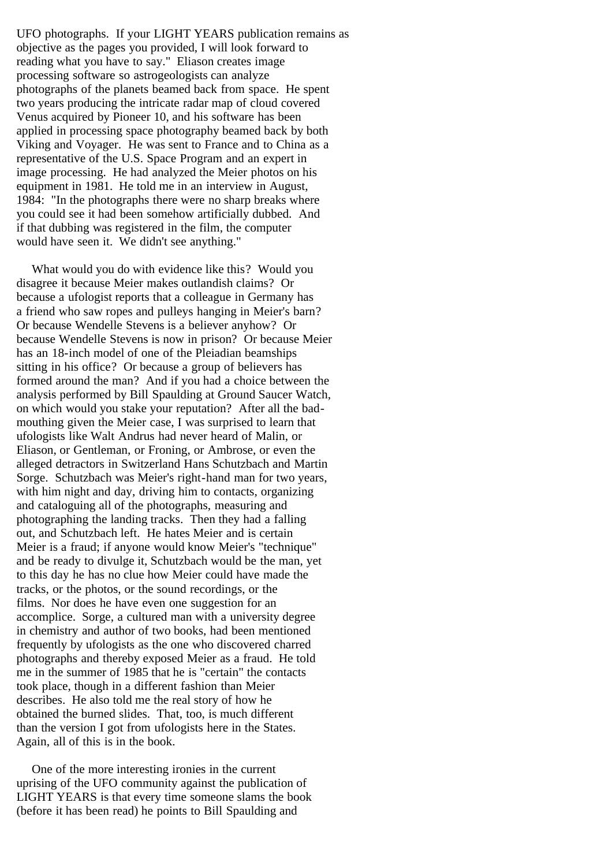UFO photographs. If your LIGHT YEARS publication remains as objective as the pages you provided, I will look forward to reading what you have to say." Eliason creates image processing software so astrogeologists can analyze photographs of the planets beamed back from space. He spent two years producing the intricate radar map of cloud covered Venus acquired by Pioneer 10, and his software has been applied in processing space photography beamed back by both Viking and Voyager. He was sent to France and to China as a representative of the U.S. Space Program and an expert in image processing. He had analyzed the Meier photos on his equipment in 1981. He told me in an interview in August, 1984: "In the photographs there were no sharp breaks where you could see it had been somehow artificially dubbed. And if that dubbing was registered in the film, the computer would have seen it. We didn't see anything."

 What would you do with evidence like this? Would you disagree it because Meier makes outlandish claims? Or because a ufologist reports that a colleague in Germany has a friend who saw ropes and pulleys hanging in Meier's barn? Or because Wendelle Stevens is a believer anyhow? Or because Wendelle Stevens is now in prison? Or because Meier has an 18-inch model of one of the Pleiadian beamships sitting in his office? Or because a group of believers has formed around the man? And if you had a choice between the analysis performed by Bill Spaulding at Ground Saucer Watch, on which would you stake your reputation? After all the badmouthing given the Meier case, I was surprised to learn that ufologists like Walt Andrus had never heard of Malin, or Eliason, or Gentleman, or Froning, or Ambrose, or even the alleged detractors in Switzerland Hans Schutzbach and Martin Sorge. Schutzbach was Meier's right-hand man for two years, with him night and day, driving him to contacts, organizing and cataloguing all of the photographs, measuring and photographing the landing tracks. Then they had a falling out, and Schutzbach left. He hates Meier and is certain Meier is a fraud; if anyone would know Meier's "technique" and be ready to divulge it, Schutzbach would be the man, yet to this day he has no clue how Meier could have made the tracks, or the photos, or the sound recordings, or the films. Nor does he have even one suggestion for an accomplice. Sorge, a cultured man with a university degree in chemistry and author of two books, had been mentioned frequently by ufologists as the one who discovered charred photographs and thereby exposed Meier as a fraud. He told me in the summer of 1985 that he is "certain" the contacts took place, though in a different fashion than Meier describes. He also told me the real story of how he obtained the burned slides. That, too, is much different than the version I got from ufologists here in the States. Again, all of this is in the book.

 One of the more interesting ironies in the current uprising of the UFO community against the publication of LIGHT YEARS is that every time someone slams the book (before it has been read) he points to Bill Spaulding and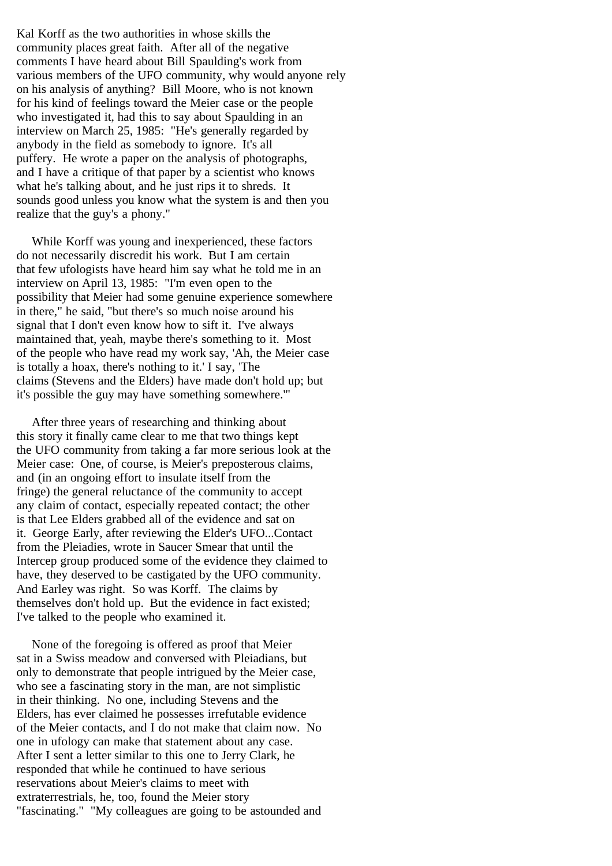Kal Korff as the two authorities in whose skills the community places great faith. After all of the negative comments I have heard about Bill Spaulding's work from various members of the UFO community, why would anyone rely on his analysis of anything? Bill Moore, who is not known for his kind of feelings toward the Meier case or the people who investigated it, had this to say about Spaulding in an interview on March 25, 1985: "He's generally regarded by anybody in the field as somebody to ignore. It's all puffery. He wrote a paper on the analysis of photographs, and I have a critique of that paper by a scientist who knows what he's talking about, and he just rips it to shreds. It sounds good unless you know what the system is and then you realize that the guy's a phony."

 While Korff was young and inexperienced, these factors do not necessarily discredit his work. But I am certain that few ufologists have heard him say what he told me in an interview on April 13, 1985: "I'm even open to the possibility that Meier had some genuine experience somewhere in there," he said, "but there's so much noise around his signal that I don't even know how to sift it. I've always maintained that, yeah, maybe there's something to it. Most of the people who have read my work say, 'Ah, the Meier case is totally a hoax, there's nothing to it.' I say, 'The claims (Stevens and the Elders) have made don't hold up; but it's possible the guy may have something somewhere.'"

 After three years of researching and thinking about this story it finally came clear to me that two things kept the UFO community from taking a far more serious look at the Meier case: One, of course, is Meier's preposterous claims, and (in an ongoing effort to insulate itself from the fringe) the general reluctance of the community to accept any claim of contact, especially repeated contact; the other is that Lee Elders grabbed all of the evidence and sat on it. George Early, after reviewing the Elder's UFO...Contact from the Pleiadies, wrote in Saucer Smear that until the Intercep group produced some of the evidence they claimed to have, they deserved to be castigated by the UFO community. And Earley was right. So was Korff. The claims by themselves don't hold up. But the evidence in fact existed; I've talked to the people who examined it.

 None of the foregoing is offered as proof that Meier sat in a Swiss meadow and conversed with Pleiadians, but only to demonstrate that people intrigued by the Meier case, who see a fascinating story in the man, are not simplistic in their thinking. No one, including Stevens and the Elders, has ever claimed he possesses irrefutable evidence of the Meier contacts, and I do not make that claim now. No one in ufology can make that statement about any case. After I sent a letter similar to this one to Jerry Clark, he responded that while he continued to have serious reservations about Meier's claims to meet with extraterrestrials, he, too, found the Meier story "fascinating." "My colleagues are going to be astounded and